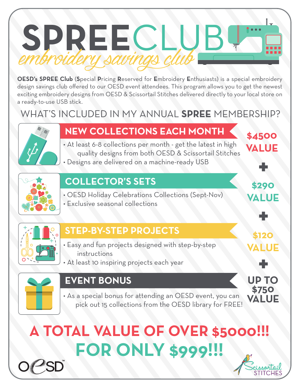

**OESD's SPREE Club** (**S**pecial **P**ricing **R**eserved for **E**mbroidery **E**nthusiasts) is a special embroidery design savings club offered to our OESD event attendees. This program allows you to get the newest exciting embroidery designs from OESD & Scissortail Stitches delivered directly to your local store on a ready-to-use USB stick.

# WHAT'S INCLUDED IN MY ANNUAL **SPREE** MEMBERSHIP?



# **NEW COLLECTIONS EACH MONTH**

• At least 6-8 collections per month - get the latest in high quality designs from both OESD & Scissortail Stitches • Designs are delivered on a machine-ready USB



#### **COLLECTOR'S SETS**

- OESD Holiday Celebrations Collections (Sept-Nov)
- Exclusive seasonal collections



#### **STEP-BY-STEP PROJECTS**

- Easy and fun projects designed with step-by-step instructions
- At least 10 inspiring projects each year



#### **EVENT BONUS**

• As a special bonus for attending an OESD event, you can pick out 15 collections from the OESD library for FREE!





**\$4500**

**VALUE**

**\$290**

**+**

**\$120**

**+**

**VALUE**

**+**

**UP TO**

**\$750 VALUE**

**VALUE**